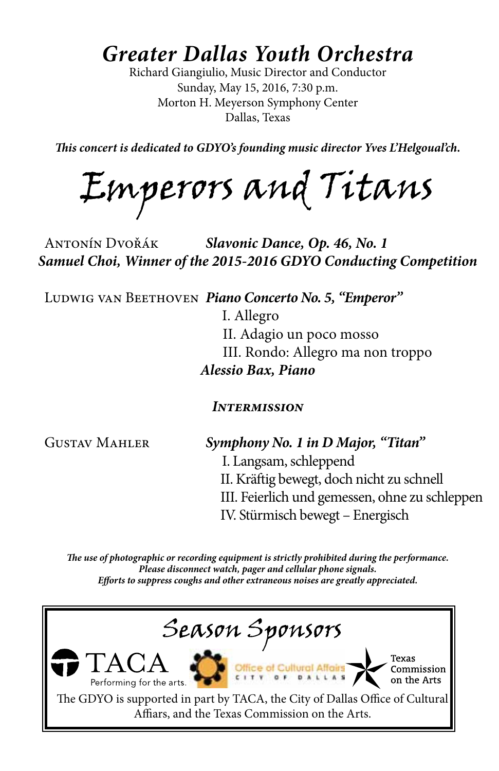# *Greater Dallas Youth Orchestra*

Richard Giangiulio, Music Director and Conductor Sunday, May 15, 2016, 7:30 p.m. Morton H. Meyerson Symphony Center Dallas, Texas

*This concert is dedicated to GDYO's founding music director Yves L'Helgoual'ch.*

Emperors and Titans

Antonín Dvořák *Slavonic Dance, Op. 46, No. 1 Samuel Choi, Winner of the 2015-2016 GDYO Conducting Competition*

Ludwig van Beethoven *Piano Concerto No. 5, "Emperor"* 

I. Allegro II. Adagio un poco mosso III. Rondo: Allegro ma non troppo *Alessio Bax, Piano*

*Intermission*

Gustav Mahler *Symphony No. 1 in D Major, "Titan"* I. Langsam, schleppend II. Kräftig bewegt, doch nicht zu schnell III. Feierlich und gemessen, ohne zu schleppen IV. Stürmisch bewegt – Energisch

*The use of photographic or recording equipment is strictly prohibited during the performance. Please disconnect watch, pager and cellular phone signals. Efforts to suppress coughs and other extraneous noises are greatly appreciated.*

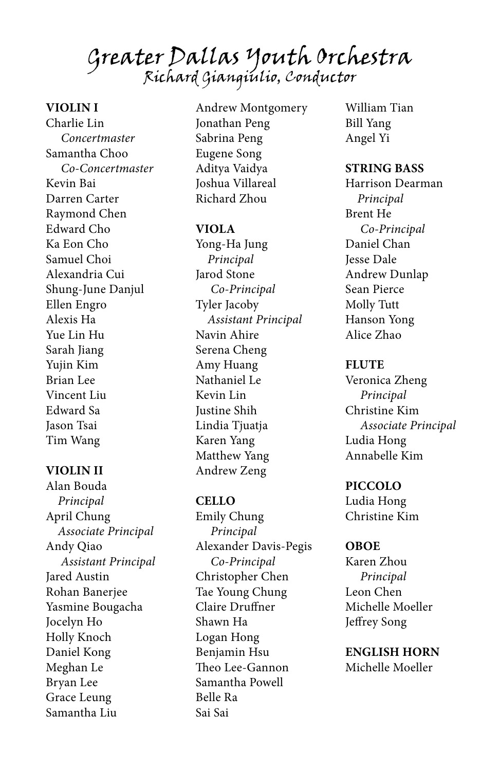## Greater Dallas Youth Orchestra Richard Giangiulio, Conductor

**VIOLIN I** Charlie Lin  *Concertmaster* Samantha Choo  *Co-Concertmaster* Kevin Bai Darren Carter Raymond Chen Edward Cho Ka Eon Cho Samuel Choi Alexandria Cui Shung-June Danjul Ellen Engro Alexis Ha Yue Lin Hu Sarah Jiang Yujin Kim Brian Lee Vincent Liu Edward Sa Jason Tsai Tim Wang

#### **VIOLIN II**

Alan Bouda  *Principal* April Chung  *Associate Principal* Andy Qiao  *Assistant Principal* Jared Austin Rohan Banerjee Yasmine Bougacha Jocelyn Ho Holly Knoch Daniel Kong Meghan Le Bryan Lee Grace Leung Samantha Liu

Andrew Montgomery Jonathan Peng Sabrina Peng Eugene Song Aditya Vaidya Joshua Villareal Richard Zhou

#### **VIOLA**

Yong-Ha Jung  *Principal* Jarod Stone  *Co-Principal* Tyler Jacoby  *Assistant Principal* Navin Ahire Serena Cheng Amy Huang Nathaniel Le Kevin Lin Justine Shih Lindia Tjuatja Karen Yang Matthew Yang Andrew Zeng

#### **CELLO**

Emily Chung  *Principal* Alexander Davis-Pegis  *Co-Principal* Christopher Chen Tae Young Chung Claire Druffner Shawn Ha Logan Hong Benjamin Hsu Theo Lee-Gannon Samantha Powell Belle Ra Sai Sai

William Tian Bill Yang Angel Yi

#### **STRING BASS**

Harrison Dearman  *Principal* Brent He  *Co-Principal* Daniel Chan Jesse Dale Andrew Dunlap Sean Pierce Molly Tutt Hanson Yong Alice Zhao

#### **FLUTE**

Veronica Zheng  *Principal* Christine Kim  *Associate Principal* Ludia Hong Annabelle Kim

#### **PICCOLO**

Ludia Hong Christine Kim

#### **OBOE**

Karen Zhou  *Principal* Leon Chen Michelle Moeller Jeffrey Song

**ENGLISH HORN** Michelle Moeller